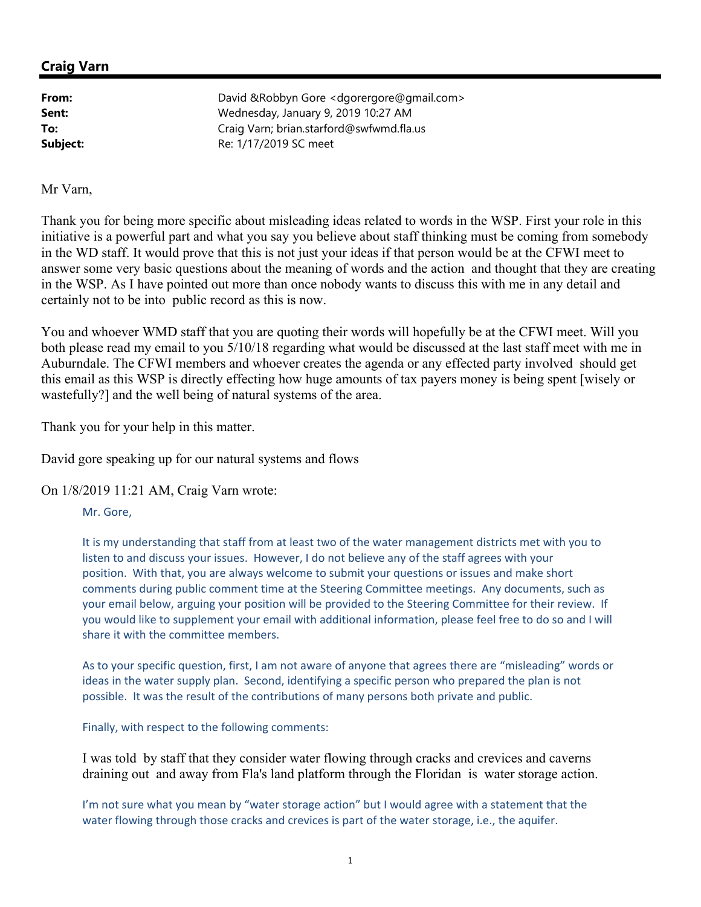## **Craig Varn**

**From:** David &Robbyn Gore <dgorergore@gmail.com> **Sent:** Wednesday, January 9, 2019 10:27 AM **To:** Craig Varn; brian.starford@swfwmd.fla.us **Subject:** Re: 1/17/2019 SC meet

Mr Varn,

Thank you for being more specific about misleading ideas related to words in the WSP. First your role in this initiative is a powerful part and what you say you believe about staff thinking must be coming from somebody in the WD staff. It would prove that this is not just your ideas if that person would be at the CFWI meet to answer some very basic questions about the meaning of words and the action and thought that they are creating in the WSP. As I have pointed out more than once nobody wants to discuss this with me in any detail and certainly not to be into public record as this is now.

You and whoever WMD staff that you are quoting their words will hopefully be at the CFWI meet. Will you both please read my email to you 5/10/18 regarding what would be discussed at the last staff meet with me in Auburndale. The CFWI members and whoever creates the agenda or any effected party involved should get this email as this WSP is directly effecting how huge amounts of tax payers money is being spent [wisely or wastefully?] and the well being of natural systems of the area.

Thank you for your help in this matter.

David gore speaking up for our natural systems and flows

On 1/8/2019 11:21 AM, Craig Varn wrote:

Mr. Gore,

It is my understanding that staff from at least two of the water management districts met with you to listen to and discuss your issues. However, I do not believe any of the staff agrees with your position. With that, you are always welcome to submit your questions or issues and make short comments during public comment time at the Steering Committee meetings. Any documents, such as your email below, arguing your position will be provided to the Steering Committee for their review. If you would like to supplement your email with additional information, please feel free to do so and I will share it with the committee members.

As to your specific question, first, I am not aware of anyone that agrees there are "misleading" words or ideas in the water supply plan. Second, identifying a specific person who prepared the plan is not possible. It was the result of the contributions of many persons both private and public.

Finally, with respect to the following comments:

I was told by staff that they consider water flowing through cracks and crevices and caverns draining out and away from Fla's land platform through the Floridan is water storage action.

I'm not sure what you mean by "water storage action" but I would agree with a statement that the water flowing through those cracks and crevices is part of the water storage, i.e., the aquifer.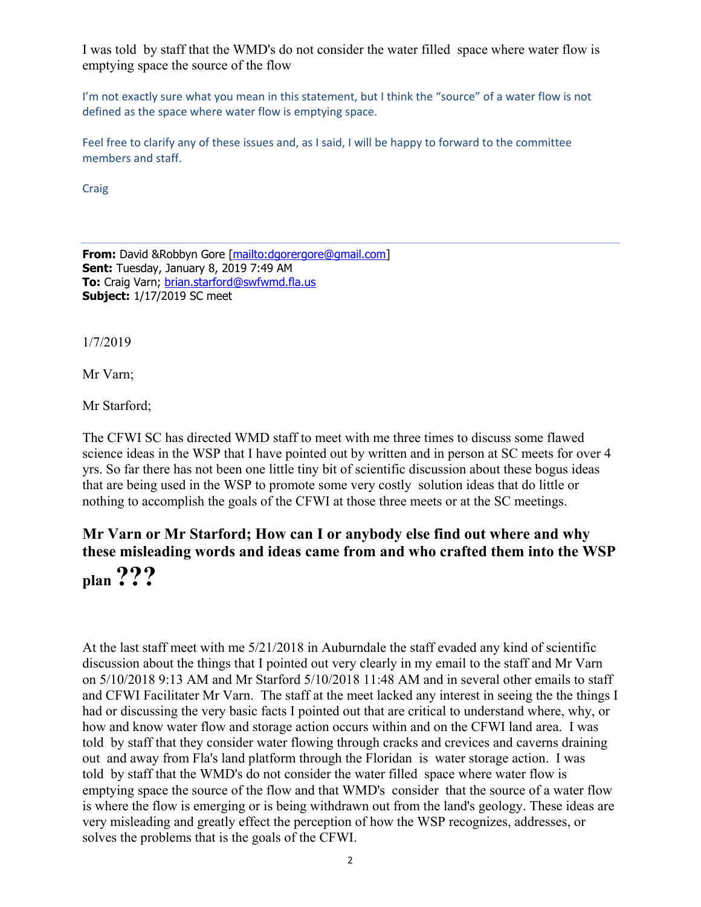I was told by staff that the WMD's do not consider the water filled space where water flow is emptying space the source of the flow

I'm not exactly sure what you mean in this statement, but I think the "source" of a water flow is not defined as the space where water flow is emptying space.

Feel free to clarify any of these issues and, as I said, I will be happy to forward to the committee members and staff.

Craig

**From:** David &Robbyn Gore [mailto:dgorergore@gmail.com] **Sent:** Tuesday, January 8, 2019 7:49 AM **To:** Craig Varn; brian.starford@swfwmd.fla.us **Subject:** 1/17/2019 SC meet

1/7/2019

Mr Varn;

Mr Starford;

The CFWI SC has directed WMD staff to meet with me three times to discuss some flawed science ideas in the WSP that I have pointed out by written and in person at SC meets for over 4 yrs. So far there has not been one little tiny bit of scientific discussion about these bogus ideas that are being used in the WSP to promote some very costly solution ideas that do little or nothing to accomplish the goals of the CFWI at those three meets or at the SC meetings.

## **Mr Varn or Mr Starford; How can I or anybody else find out where and why these misleading words and ideas came from and who crafted them into the WSP**

**plan ???** 

At the last staff meet with me 5/21/2018 in Auburndale the staff evaded any kind of scientific discussion about the things that I pointed out very clearly in my email to the staff and Mr Varn on 5/10/2018 9:13 AM and Mr Starford 5/10/2018 11:48 AM and in several other emails to staff and CFWI Facilitater Mr Varn. The staff at the meet lacked any interest in seeing the the things I had or discussing the very basic facts I pointed out that are critical to understand where, why, or how and know water flow and storage action occurs within and on the CFWI land area. I was told by staff that they consider water flowing through cracks and crevices and caverns draining out and away from Fla's land platform through the Floridan is water storage action. I was told by staff that the WMD's do not consider the water filled space where water flow is emptying space the source of the flow and that WMD's consider that the source of a water flow is where the flow is emerging or is being withdrawn out from the land's geology. These ideas are very misleading and greatly effect the perception of how the WSP recognizes, addresses, or solves the problems that is the goals of the CFWI.